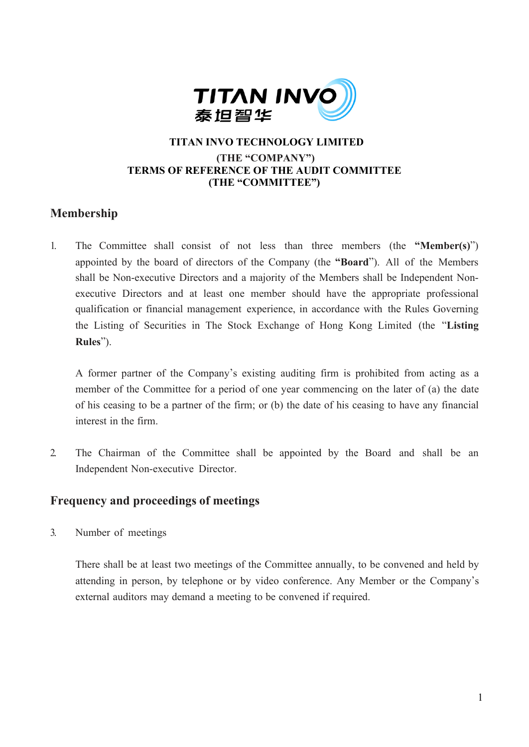

## **TITAN INVO TECHNOLOGY LIMITED (THE "COMPANY") TERMS OF REFERENCE OF THE AUDIT COMMITTEE (THE "COMMITTEE")**

# **Membership**

1. The Committee shall consist of not less than three members (the **"Member(s)**") appointed by the board of directors of the Company (the **"Board**"). All of the Members shall be Non-executive Directors and a majority of the Members shall be Independent Nonexecutive Directors and at least one member should have the appropriate professional qualification or financial management experience, in accordance with the Rules Governing the Listing of Securities in The Stock Exchange of Hong Kong Limited (the "**Listing Rules**").

A former partner of the Company's existing auditing firm is prohibited from acting as a member of the Committee for a period of one year commencing on the later of (a) the date of his ceasing to be a partner of the firm; or (b) the date of his ceasing to have any financial interest in the firm.

2. The Chairman of the Committee shall be appointed by the Board and shall be an Independent Non-executive Director.

## **Frequency and proceedings of meetings**

3. Number of meetings

There shall be at least two meetings of the Committee annually, to be convened and held by attending in person, by telephone or by video conference. Any Member or the Company's external auditors may demand a meeting to be convened if required.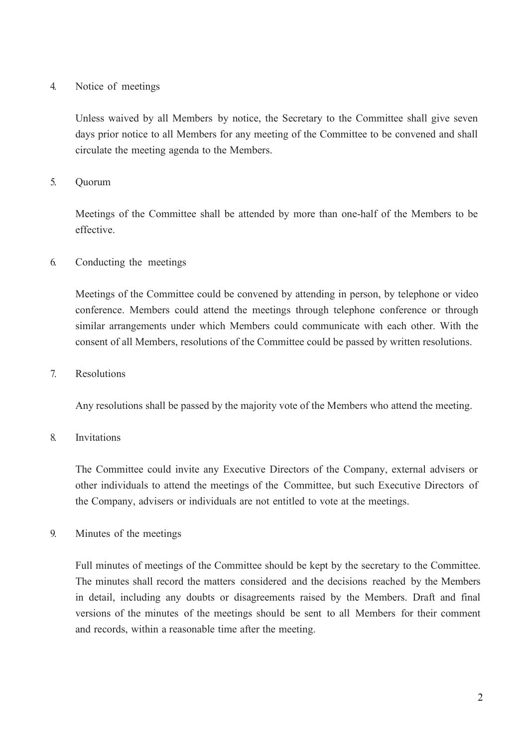#### 4. Notice of meetings

Unless waived by all Members by notice, the Secretary to the Committee shall give seven days prior notice to all Members for any meeting of the Committee to be convened and shall circulate the meeting agenda to the Members.

## 5. Quorum

Meetings of the Committee shall be attended by more than one-half of the Members to be effective.

6. Conducting the meetings

Meetings of the Committee could be convened by attending in person, by telephone or video conference. Members could attend the meetings through telephone conference or through similar arrangements under which Members could communicate with each other. With the consent of all Members, resolutions of the Committee could be passed by written resolutions.

#### 7. Resolutions

Any resolutions shall be passed by the majority vote of the Members who attend the meeting.

## 8. Invitations

The Committee could invite any Executive Directors of the Company, external advisers or other individuals to attend the meetings of the Committee, but such Executive Directors of the Company, advisers or individuals are not entitled to vote at the meetings.

9. Minutes of the meetings

Full minutes of meetings of the Committee should be kept by the secretary to the Committee. The minutes shall record the matters considered and the decisions reached by the Members in detail, including any doubts or disagreements raised by the Members. Draft and final versions of the minutes of the meetings should be sent to all Members for their comment and records, within a reasonable time after the meeting.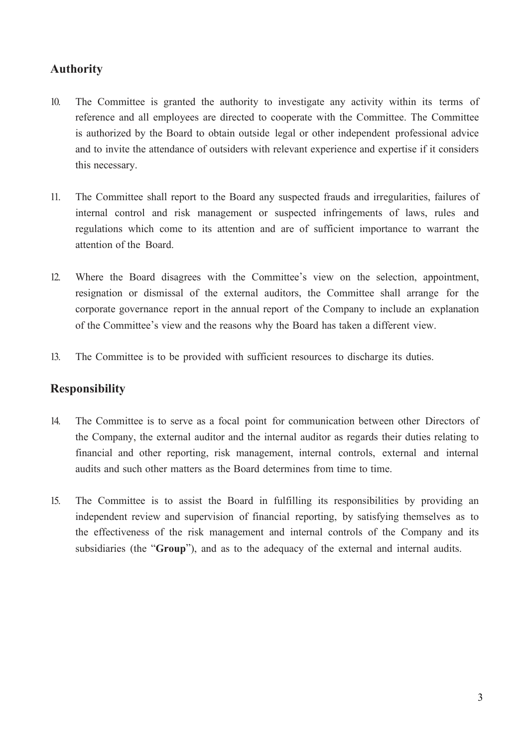# **Authority**

- 10. The Committee is granted the authority to investigate any activity within its terms of reference and all employees are directed to cooperate with the Committee. The Committee is authorized by the Board to obtain outside legal or other independent professional advice and to invite the attendance of outsiders with relevant experience and expertise if it considers this necessary.
- 11. The Committee shall report to the Board any suspected frauds and irregularities, failures of internal control and risk management or suspected infringements of laws, rules and regulations which come to its attention and are of sufficient importance to warrant the attention of the Board.
- 12. Where the Board disagrees with the Committee's view on the selection, appointment, resignation or dismissal of the external auditors, the Committee shall arrange for the corporate governance report in the annual report of the Company to include an explanation of the Committee's view and the reasons why the Board has taken a different view.
- 13. The Committee is to be provided with sufficient resources to discharge its duties.

## **Responsibility**

- 14. The Committee is to serve as a focal point for communication between other Directors of the Company, the external auditor and the internal auditor as regards their duties relating to financial and other reporting, risk management, internal controls, external and internal audits and such other matters as the Board determines from time to time.
- 15. The Committee is to assist the Board in fulfilling its responsibilities by providing an independent review and supervision of financial reporting, by satisfying themselves as to the effectiveness of the risk management and internal controls of the Company and its subsidiaries (the "**Group**"), and as to the adequacy of the external and internal audits.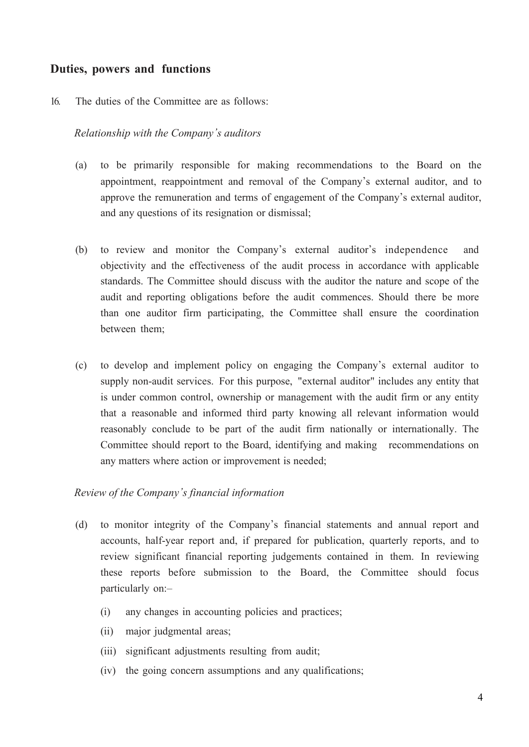## **Duties, powers and functions**

#### 16. The duties of the Committee are as follows:

#### *Relationship with the Company's auditors*

- (a) to be primarily responsible for making recommendations to the Board on the appointment, reappointment and removal of the Company's external auditor, and to approve the remuneration and terms of engagement of the Company's external auditor, and any questions of its resignation or dismissal;
- (b) to review and monitor the Company's external auditor's independence and objectivity and the effectiveness of the audit process in accordance with applicable standards. The Committee should discuss with the auditor the nature and scope of the audit and reporting obligations before the audit commences. Should there be more than one auditor firm participating, the Committee shall ensure the coordination between them;
- (c) to develop and implement policy on engaging the Company's external auditor to supply non-audit services. For this purpose, "external auditor" includes any entity that is under common control, ownership or management with the audit firm or any entity that a reasonable and informed third party knowing all relevant information would reasonably conclude to be part of the audit firm nationally or internationally. The Committee should report to the Board, identifying and making recommendations on any matters where action or improvement is needed;

#### *Review of the Company's financial information*

- (d) to monitor integrity of the Company's financial statements and annual report and accounts, half-year report and, if prepared for publication, quarterly reports, and to review significant financial reporting judgements contained in them. In reviewing these reports before submission to the Board, the Committee should focus particularly on:–
	- (i) any changes in accounting policies and practices;
	- (ii) major judgmental areas;
	- (iii) significant adjustments resulting from audit;
	- (iv) the going concern assumptions and any qualifications;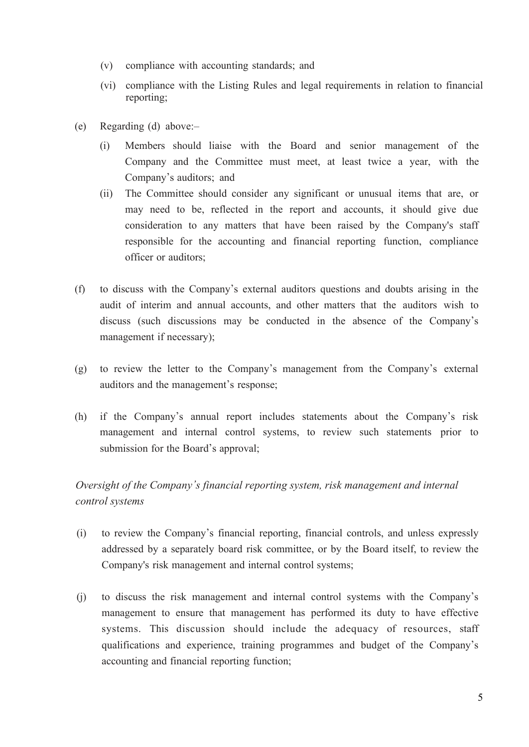- (v) compliance with accounting standards; and
- (vi) compliance with the Listing Rules and legal requirements in relation to financial reporting;
- (e) Regarding (d) above:–
	- (i) Members should liaise with the Board and senior management of the Company and the Committee must meet, at least twice a year, with the Company's auditors; and
	- (ii) The Committee should consider any significant or unusual items that are, or may need to be, reflected in the report and accounts, it should give due consideration to any matters that have been raised by the Company's staff responsible for the accounting and financial reporting function, compliance officer or auditors;
- (f) to discuss with the Company's external auditors questions and doubts arising in the audit of interim and annual accounts, and other matters that the auditors wish to discuss (such discussions may be conducted in the absence of the Company's management if necessary);
- (g) to review the letter to the Company's management from the Company's external auditors and the management's response;
- (h) if the Company's annual report includes statements about the Company's risk management and internal control systems, to review such statements prior to submission for the Board's approval;

# *Oversight of the Company's financial reporting system, risk management and internal control systems*

- (i) to review the Company's financial reporting, financial controls, and unless expressly addressed by a separately board risk committee, or by the Board itself, to review the Company's risk management and internal control systems;
- (j) to discuss the risk management and internal control systems with the Company's management to ensure that management has performed its duty to have effective systems. This discussion should include the adequacy of resources, staff qualifications and experience, training programmes and budget of the Company's accounting and financial reporting function;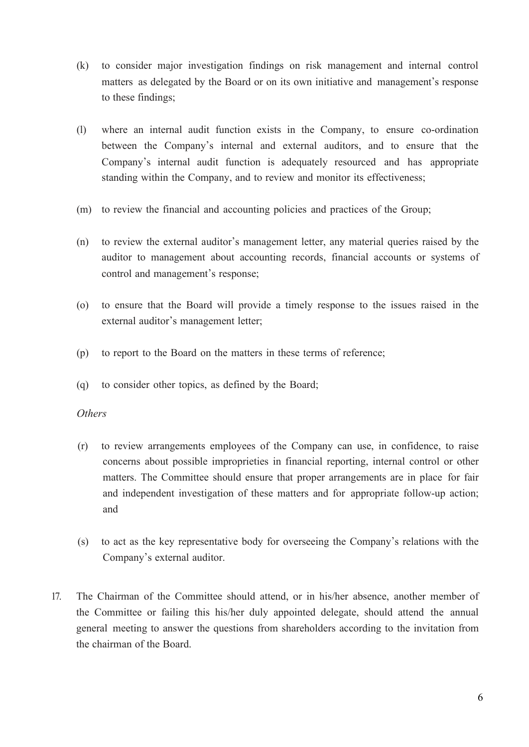- (k) to consider major investigation findings on risk management and internal control matters as delegated by the Board or on its own initiative and management's response to these findings;
- (l) where an internal audit function exists in the Company, to ensure co-ordination between the Company's internal and external auditors, and to ensure that the Company's internal audit function is adequately resourced and has appropriate standing within the Company, and to review and monitor its effectiveness;
- (m) to review the financial and accounting policies and practices of the Group;
- (n) to review the external auditor's management letter, any material queries raised by the auditor to management about accounting records, financial accounts or systems of control and management's response;
- (o) to ensure that the Board will provide a timely response to the issues raised in the external auditor's management letter;
- (p) to report to the Board on the matters in these terms of reference;
- (q) to consider other topics, as defined by the Board;

#### *Others*

- (r) to review arrangements employees of the Company can use, in confidence, to raise concerns about possible improprieties in financial reporting, internal control or other matters. The Committee should ensure that proper arrangements are in place for fair and independent investigation of these matters and for appropriate follow-up action; and
- (s) to act as the key representative body for overseeing the Company's relations with the Company's external auditor.
- 17. The Chairman of the Committee should attend, or in his/her absence, another member of the Committee or failing this his/her duly appointed delegate, should attend the annual general meeting to answer the questions from shareholders according to the invitation from the chairman of the Board.